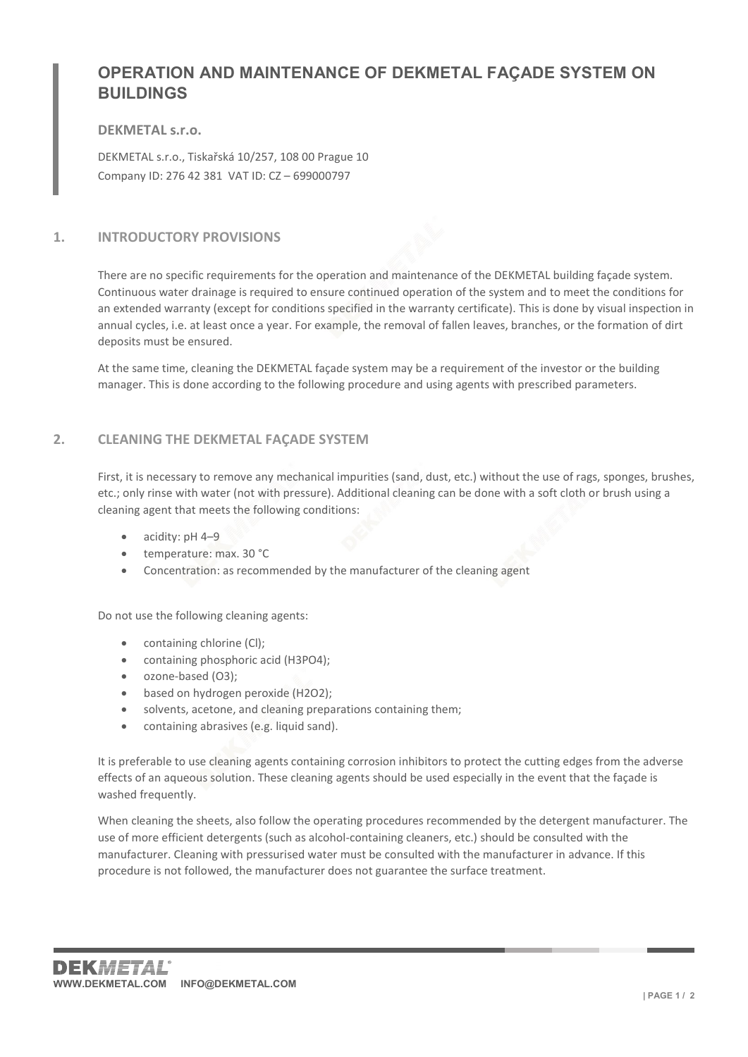# OPERATION AND MAINTENANCE OF DEKMETAL FAÇADE SYSTEM ON **BUILDINGS**

## DEKMETAL s.r.o.

DEKMETAL s.r.o., Tiskařská 10/257, 108 00 Prague 10 Company ID: 276 42 381 VAT ID: CZ – 699000797

# 1. INTRODUCTORY PROVISIONS

There are no specific requirements for the operation and maintenance of the DEKMETAL building façade system. Continuous water drainage is required to ensure continued operation of the system and to meet the conditions for an extended warranty (except for conditions specified in the warranty certificate). This is done by visual inspection in annual cycles, i.e. at least once a year. For example, the removal of fallen leaves, branches, or the formation of dirt deposits must be ensured.

At the same time, cleaning the DEKMETAL façade system may be a requirement of the investor or the building manager. This is done according to the following procedure and using agents with prescribed parameters.

# 2. CLEANING THE DEKMETAL FAÇADE SYSTEM

First, it is necessary to remove any mechanical impurities (sand, dust, etc.) without the use of rags, sponges, brushes, etc.; only rinse with water (not with pressure). Additional cleaning can be done with a soft cloth or brush using a cleaning agent that meets the following conditions:

- acidity: pH 4–9
- temperature: max. 30 °C
- Concentration: as recommended by the manufacturer of the cleaning agent

Do not use the following cleaning agents:

- containing chlorine (Cl);
- containing phosphoric acid (H3PO4);
- ozone-based (O3);
- based on hydrogen peroxide (H2O2);
- solvents, acetone, and cleaning preparations containing them;
- containing abrasives (e.g. liquid sand).

It is preferable to use cleaning agents containing corrosion inhibitors to protect the cutting edges from the adverse effects of an aqueous solution. These cleaning agents should be used especially in the event that the façade is washed frequently.

When cleaning the sheets, also follow the operating procedures recommended by the detergent manufacturer. The use of more efficient detergents (such as alcohol-containing cleaners, etc.) should be consulted with the manufacturer. Cleaning with pressurised water must be consulted with the manufacturer in advance. If this procedure is not followed, the manufacturer does not guarantee the surface treatment.